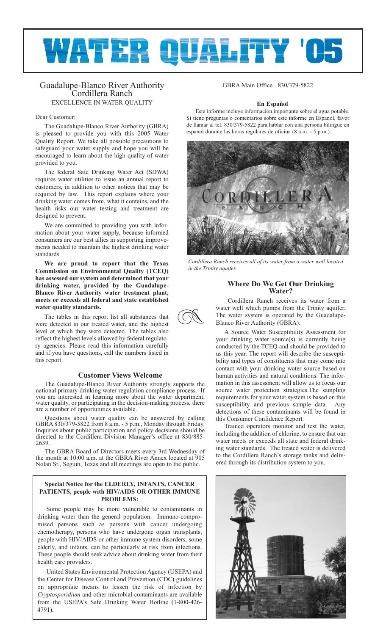# **WATER QUALITY 'OS**

R

# Guadalupe-Blanco River Authority Cordillera Ranch EXCELLENCE IN WATER QUALITY

# Dear Customer:

The Guadalupe-Blanco River Authority (GBRA) is pleased to provide you with this 2005 Water Quality Report. We take all possible precautions to safeguard your water supply and hope you will be encouraged to learn about the high quality of water provided to you.

The federal Safe Drinking Water Act (SDWA) requires water utilities to issue an annual report to customers, in addition to other notices that may be required by law. This report explains where your drinking water comes from, what it contains, and the health risks our water testing and treatment are designed to prevent.

We are committed to providing you with information about your water supply, because informed consumers are our best allies in supporting improvements needed to maintain the highest drinking water standards.

**We are proud to report that the Texas Commission on Environmental Quality (TCEQ) has assessed our system and determined that your drinking water, provided by the Guadalupe-Blanco River Authority water treatment plant, meets or exceeds all federal and state established water quality standards.**

The tables in this report list all substances that were detected in our treated water, and the highest level at which they were detected. The tables also reflect the highest levels allowed by federal regulatory agencies. Please read this information carefully and if you have questions, call the numbers listed in this report.

# **Customer Views Welcome**

The Guadalupe-Blanco River Authority strongly supports the national primary drinking water regulation compliance process. If you are interested in learning more about the water department, water quality, or participating in the decision-making process, there are a number of opportunities available.

Questions about water quality can be answered by calling GBRA 830/379-5822 from 8 a.m. - 5 p.m., Monday through Friday. Inquiries about public participation and policy decisions should be directed to the Cordillera Division Manager's office at 830/885- 2639.

The GBRA Board of Directors meets every 3rd Wednesday of the month at 10:00 a.m. at the GBRA River Annex located at 905 Nolan St., Seguin, Texas and all meetings are open to the public.

# **Special Notice for the ELDERLY, INFANTS, CANCER PATIENTS, people with HIV/AIDS OR OTHER IMMUNE PROBLEMS:**

Some people may be more vulnerable to contaminants in drinking water than the general population. Immuno-compromised persons such as persons with cancer undergoing chemotherapy, persons who have undergone organ transplants, people with HIV/AIDS or other immune system disorders, some elderly, and infants, can be particularly at risk from infections. These people should seek advice about drinking water from their health care providers.

United States Environmental Protection Agency (USEPA) and the Center for Disease Control and Prevention (CDC) guidelines on appropriate means to lessen the risk of infection by *Cryptosporidium* and other microbial contaminants are available from the USEPA's Safe Drinking Water Hotline (1-800-426- 4791).

GBRA Main Office 830/379-5822

# **En Español**

Este informe incluye informacion importante sobre el agua potable. Si tiene preguntas o comentarios sobre este informe en Espanol, favor de llamar al tel. 830/379-5822 para hablar con una persona bilingue en espanol durante las horas regulares de oficina (8 a.m. - 5 p.m.).



*Cordillera Ranch receives all of its water from a water well located in the Trinity aquifer.*

# **Where Do We Get Our Drinking Water?**

Cordillera Ranch receives its water from a water well which pumps from the Trinity aquifer. The water system is operated by the Guadalupe-Blanco River Authority (GBRA).

A Source Water Susceptibility Assessment for your drinking water source(s) is currently being conducted by the TCEQ and should be provided to us this year. The report will describe the susceptibility and types of constituents that may come into contact with your drinking water source based on human activities and natural conditions. The information in this assessment will allow us to focus our source water protection strategies.The sampling requirements for your water system is based on this susceptibility and previous sample data. Any detections of these contaminants will be found in this Consumer Confidence Report.

Trained operators monitor and test the water, including the addition of chlorine, to ensure that our water meets or exceeds all state and federal drinking water standards. The treated water is delivered to the Cordillera Ranch's storage tanks and delivered through its distribution system to you.